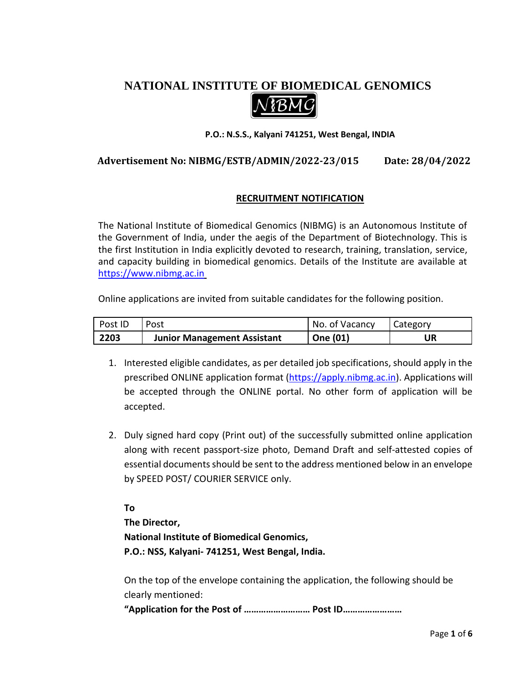# **NATIONAL INSTITUTE OF BIOMEDICAL GENOMICS**



#### **P.O.: N.S.S., Kalyani 741251, West Bengal, INDIA**

## **Advertisement No: NIBMG/ESTB/ADMIN/2022-23/015 Date: 28/04/2022**

### **RECRUITMENT NOTIFICATION**

The National Institute of Biomedical Genomics (NIBMG) is an Autonomous Institute of the Government of India, under the aegis of the Department of Biotechnology. This is the first Institution in India explicitly devoted to research, training, translation, service, and capacity building in biomedical genomics. Details of the Institute are available at [https://www.nibmg.ac.in](https://www.nibmg.ac.in/)

Online applications are invited from suitable candidates for the following position.

| Post ID | Post                               | No. of Vacancy | <b>Category</b> |
|---------|------------------------------------|----------------|-----------------|
| 2203    | <b>Junior Management Assistant</b> | One (01)       | UR              |

- 1. Interested eligible candidates, as per detailed job specifications, should apply in the prescribed ONLINE application format [\(https://apply.nibmg.ac.in\)](https://apply.nibmg.ac.in/). Applications will be accepted through the ONLINE portal. No other form of application will be accepted.
- 2. Duly signed hard copy (Print out) of the successfully submitted online application along with recent passport-size photo, Demand Draft and self-attested copies of essential documents should be sent to the address mentioned below in an envelope by SPEED POST/ COURIER SERVICE only.

**To The Director, National Institute of Biomedical Genomics, P.O.: NSS, Kalyani- 741251, West Bengal, India.** 

On the top of the envelope containing the application, the following should be clearly mentioned:

**"Application for the Post of ……………………… Post ID……………………**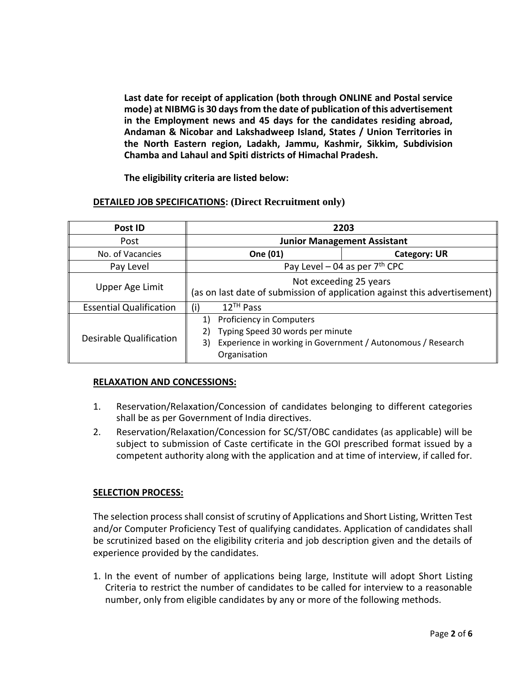**Last date for receipt of application (both through ONLINE and Postal service mode) at NIBMG is 30 days from the date of publication of this advertisement in the Employment news and 45 days for the candidates residing abroad, Andaman & Nicobar and Lakshadweep Island, States / Union Territories in the North Eastern region, Ladakh, Jammu, Kashmir, Sikkim, Subdivision Chamba and Lahaul and Spiti districts of Himachal Pradesh.**

**The eligibility criteria are listed below:**

#### **DETAILED JOB SPECIFICATIONS: (Direct Recruitment only)**

| Post ID                        | 2203                                                                                                                                                          |                     |  |  |
|--------------------------------|---------------------------------------------------------------------------------------------------------------------------------------------------------------|---------------------|--|--|
| Post                           | <b>Junior Management Assistant</b>                                                                                                                            |                     |  |  |
| No. of Vacancies               | One (01)                                                                                                                                                      | <b>Category: UR</b> |  |  |
| Pay Level                      | Pay Level – 04 as per $7th$ CPC                                                                                                                               |                     |  |  |
| Upper Age Limit                | Not exceeding 25 years<br>(as on last date of submission of application against this advertisement) $\parallel$                                               |                     |  |  |
| <b>Essential Qualification</b> | $12^{TH}$ Pass<br>(i)                                                                                                                                         |                     |  |  |
| <b>Desirable Qualification</b> | Proficiency in Computers<br>1)<br>Typing Speed 30 words per minute<br>2)<br>Experience in working in Government / Autonomous / Research<br>3)<br>Organisation |                     |  |  |

#### **RELAXATION AND CONCESSIONS:**

- 1. Reservation/Relaxation/Concession of candidates belonging to different categories shall be as per Government of India directives.
- 2. Reservation/Relaxation/Concession for SC/ST/OBC candidates (as applicable) will be subject to submission of Caste certificate in the GOI prescribed format issued by a competent authority along with the application and at time of interview, if called for.

#### **SELECTION PROCESS:**

The selection process shall consist of scrutiny of Applications and Short Listing, Written Test and/or Computer Proficiency Test of qualifying candidates. Application of candidates shall be scrutinized based on the eligibility criteria and job description given and the details of experience provided by the candidates.

1. In the event of number of applications being large, Institute will adopt Short Listing Criteria to restrict the number of candidates to be called for interview to a reasonable number, only from eligible candidates by any or more of the following methods.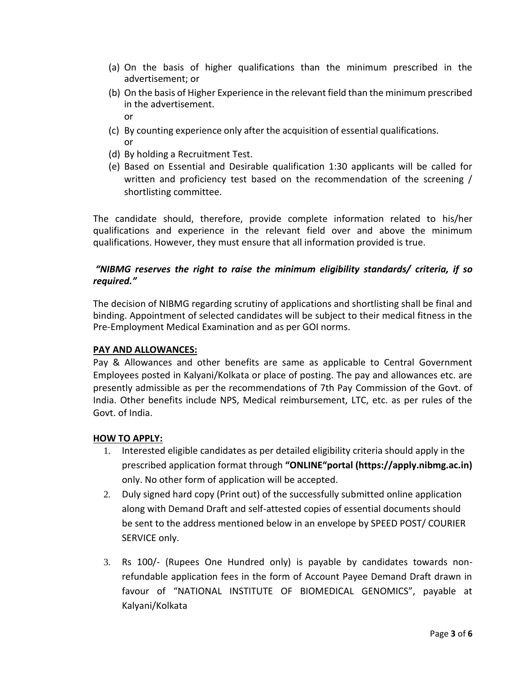- (a) On the basis of higher qualifications than the minimum prescribed in the advertisement; or
- (b) On the basis of Higher Experience in the relevant field than the minimum prescribed in the advertisement. or
- (c) By counting experience only after the acquisition of essential qualifications. or
- (d) By holding a Recruitment Test.
- (e) Based on Essential and Desirable qualification 1:30 applicants will be called for written and proficiency test based on the recommendation of the screening / shortlisting committee.

The candidate should, therefore, provide complete information related to his/her qualifications and experience in the relevant field over and above the minimum qualifications. However, they must ensure that all information provided is true.

## *"NIBMG reserves the right to raise the minimum eligibility standards/ criteria, if so required."*

The decision of NIBMG regarding scrutiny of applications and shortlisting shall be final and binding. Appointment of selected candidates will be subject to their medical fitness in the Pre-Employment Medical Examination and as per GOI norms.

### **PAY AND ALLOWANCES:**

Pay & Allowances and other benefits are same as applicable to Central Government Employees posted in Kalyani/Kolkata or place of posting. The pay and allowances etc. are presently admissible as per the recommendations of 7th Pay Commission of the Govt. of India. Other benefits include NPS, Medical reimbursement, LTC, etc. as per rules of the Govt. of India.

### **HOW TO APPLY:**

- 1. Interested eligible candidates as per detailed eligibility criteria should apply in the prescribed application format through **"ONLINE"portal (https://apply.nibmg.ac.in)** only. No other form of application will be accepted.
- 2. Duly signed hard copy (Print out) of the successfully submitted online application along with Demand Draft and self-attested copies of essential documents should be sent to the address mentioned below in an envelope by SPEED POST/ COURIER SERVICE only.
- 3. Rs 100/- (Rupees One Hundred only) is payable by candidates towards nonrefundable application fees in the form of Account Payee Demand Draft drawn in favour of "NATIONAL INSTITUTE OF BIOMEDICAL GENOMICS", payable at Kalyani/Kolkata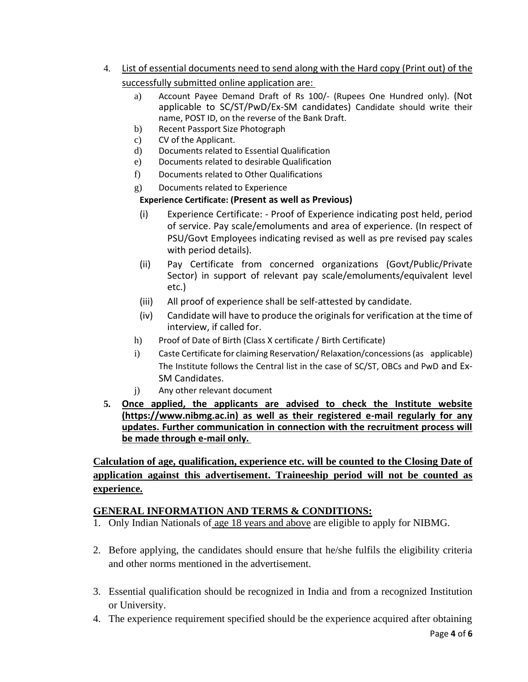- 4. List of essential documents need to send along with the Hard copy (Print out) of the successfully submitted online application are:
	- a) Account Payee Demand Draft of Rs 100/- (Rupees One Hundred only). (Not applicable to SC/ST/PwD/Ex-SM candidates) Candidate should write their name, POST ID, on the reverse of the Bank Draft.
	- b) Recent Passport Size Photograph
	- c) CV of the Applicant.
	- d) Documents related to Essential Qualification
	- e) Documents related to desirable Qualification
	- f) Documents related to Other Qualifications
	- g) Documents related to Experience

## **Experience Certificate: (Present as well as Previous)**

- (i) Experience Certificate: Proof of Experience indicating post held, period of service. Pay scale/emoluments and area of experience. (In respect of PSU/Govt Employees indicating revised as well as pre revised pay scales with period details).
- (ii) Pay Certificate from concerned organizations (Govt/Public/Private Sector) in support of relevant pay scale/emoluments/equivalent level etc.)
- (iii) All proof of experience shall be self-attested by candidate.
- (iv) Candidate will have to produce the originals for verification at the time of interview, if called for.
- h) Proof of Date of Birth (Class X certificate / Birth Certificate)
- i) Caste Certificate for claiming Reservation/ Relaxation/concessions (as applicable) The Institute follows the Central list in the case of SC/ST, OBCs and PwD and Ex-SM Candidates.
- j) Any other relevant document
- **5. Once applied, the applicants are advised to check the Institute website (https://www.nibmg.ac.in) as well as their registered e-mail regularly for any updates. Further communication in connection with the recruitment process will be made through e-mail only.**

**Calculation of age, qualification, experience etc. will be counted to the Closing Date of application against this advertisement. Traineeship period will not be counted as experience.**

# **GENERAL INFORMATION AND TERMS & CONDITIONS:**

- 1. Only Indian Nationals of age 18 years and above are eligible to apply for NIBMG.
- 2. Before applying, the candidates should ensure that he/she fulfils the eligibility criteria and other norms mentioned in the advertisement.
- 3. Essential qualification should be recognized in India and from a recognized Institution or University.
- 4. The experience requirement specified should be the experience acquired after obtaining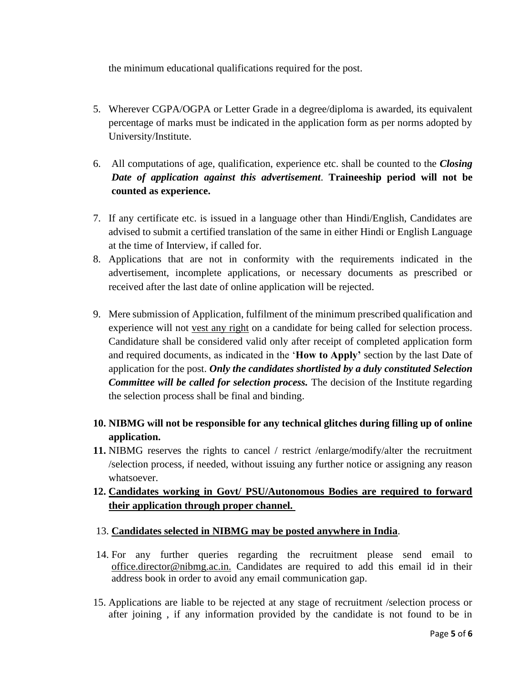the minimum educational qualifications required for the post.

- 5. Wherever CGPA/OGPA or Letter Grade in a degree/diploma is awarded, its equivalent percentage of marks must be indicated in the application form as per norms adopted by University/Institute.
- 6. All computations of age, qualification, experience etc. shall be counted to the *Closing Date of application against this advertisement*. **Traineeship period will not be counted as experience.**
- 7. If any certificate etc. is issued in a language other than Hindi/English, Candidates are advised to submit a certified translation of the same in either Hindi or English Language at the time of Interview, if called for.
- 8. Applications that are not in conformity with the requirements indicated in the advertisement, incomplete applications, or necessary documents as prescribed or received after the last date of online application will be rejected.
- 9. Mere submission of Application, fulfilment of the minimum prescribed qualification and experience will not vest any right on a candidate for being called for selection process. Candidature shall be considered valid only after receipt of completed application form and required documents, as indicated in the '**How to Apply'** section by the last Date of application for the post. *Only the candidates shortlisted by a duly constituted Selection Committee will be called for selection process.* The decision of the Institute regarding the selection process shall be final and binding.
- **10. NIBMG will not be responsible for any technical glitches during filling up of online application.**
- **11.** NIBMG reserves the rights to cancel / restrict /enlarge/modify/alter the recruitment /selection process, if needed, without issuing any further notice or assigning any reason whatsoever.

# **12. Candidates working in Govt/ PSU/Autonomous Bodies are required to forward their application through proper channel.**

## 13. **Candidates selected in NIBMG may be posted anywhere in India**.

- 14. For any further queries regarding the recruitment please send email to office.director@nibmg.ac.in. Candidates are required to add this email id in their address book in order to avoid any email communication gap.
- 15. Applications are liable to be rejected at any stage of recruitment /selection process or after joining , if any information provided by the candidate is not found to be in